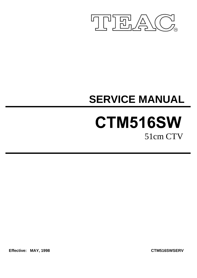

# **SERVICE MANUAL**

## CTM516SW 51cm CTV

**Effective: MAY, 1998 CTM516SWSERV**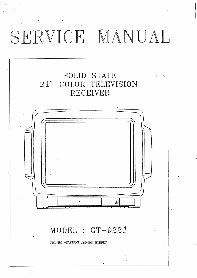# SERVICE MANUAL

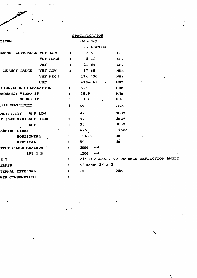#### SPECIFICATION

Ą

| <b>YSTEM</b>                  |                  | $\mathbf{r}$                  | $PAL - B/G$         |                                            |  |
|-------------------------------|------------------|-------------------------------|---------------------|--------------------------------------------|--|
|                               |                  |                               | TV SECTION ----     |                                            |  |
| HANNEL COVERANGE VHF LOW      |                  | $\ddot{\phantom{a}}$          | $2 - 4$             | CII.                                       |  |
|                               | <b>VIIF HIGH</b> | $\ddot{\cdot}$                | $5 - 12$            | CH.                                        |  |
|                               | <b>UHF</b>       | $\ddot{\bullet}$              | $21 - 69$           | CH.                                        |  |
| <b>REQUENCY RANGE</b>         | AHE LOW          | $\ddot{\cdot}$                | $47 - 68$           | MHz                                        |  |
|                               | <b>VIIF HIGH</b> | $\mathbf{z}$ and $\mathbf{z}$ | $174 - 230$         | Milz<br>۲                                  |  |
|                               | <b>UHF</b>       | $\mathbf{z}$                  | $470 - 862$         | <b>MHZ</b>                                 |  |
| <b>ISION/SOUND SEPARATION</b> |                  | $\ddot{\bullet}$              | 5.5                 | <b>Milz</b>                                |  |
| REQUENCY VIDEO IF             |                  | $\ddot{\phantom{a}}$          | 38.9                | <b>MJz</b>                                 |  |
| SOUND IF                      |                  | $\ddot{\bullet}$              | 33.4                | <b>MIz</b>                                 |  |
| <b>JUDO SENSITIVITY</b>       |                  | $\ddot{\bm{z}}$               | 45                  | dBuV                                       |  |
| <b>INSITIVITY</b>             | <b>VIIF LOW</b>  | $\ddot{\phantom{a}}$          | 47                  | dBuV                                       |  |
| T 30dB S/N) VHF HIGH          |                  | $\ddot{\phantom{a}}$          | 47                  | dBuV                                       |  |
| UIIF                          |                  |                               | 50                  | dBuV                                       |  |
| ANNING LINES                  |                  |                               | 625                 | lines                                      |  |
| <b>HORIZONTAL</b>             |                  | $\ddot{\cdot}$                | 15625               | llz                                        |  |
| VERTICAL                      |                  | $\ddot{\cdot}$                | 50                  | $\bf{Hz}$                                  |  |
| TPUT POWER MAXIMUM            |                  | ° ≥                           | 2000<br><b>TIIM</b> |                                            |  |
|                               | 10% THD          | $\mathbf{z}$                  | របស<br>1500         |                                            |  |
| RT.                           |                  | $\mathbf{z}$                  |                     | 2) " DIAGONAL, 90 DEGREES DEFLECTION ANGLE |  |
| <b>EAKER</b>                  |                  | $\ddot{\bullet}$              | 4" 160HM 3W x 2     |                                            |  |
| TENNAL EXTERNAL               |                  | $\ddot{\cdot}$                | 75                  | <b>OIM</b>                                 |  |
| <b>WER CONSUMPTION</b>        |                  | $\ddot{\phantom{a}}$          |                     |                                            |  |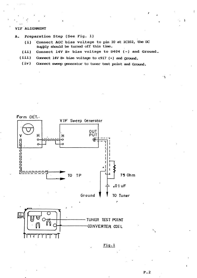#### VIF ALIGNMENT

- Preparation Step (See Fig. 1) A.
	- Connect AGC bias voltage to pin 10 at IC102, the DC  $(i)$ supply should be turned off this time.
	- Connect 14V B+ bias voltage to D404 (-) and Ground.  $(ii)$
	- $(iii)$ Connect 14V B+ bias voltage to c917 (+) and Ground.
	- $(iv)$ Connect sweep generator to tuner test point and Ground.



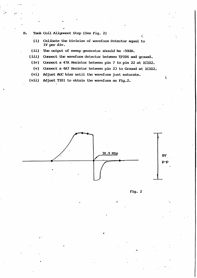- **B.** Tank Coil Alignment Step (See Fig. 2)
	- $(i)$ Calibate the Division of wavefoun Detector equal to IV per div.
	- $(ii)$ The output of sweep generator should be -50dB.
	- (iii) Connect the waveform detector between TP106 and ground.
	- (iv) Connect a 47K Resistor between pin 7 to pin 22 at IC102.
	- Connect a 4K7 Resistor between pin 23 to Ground at IC102.  $(v)$
	- (vi) Adjust AGC bias until the waveform just saturate.
	- $(vii)$ Adjust T101 to obtain the waveform as Fig.2.





ť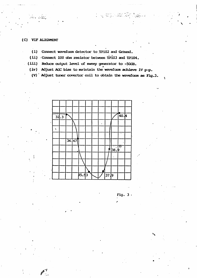#### (C) VIF ALIGMENT

Ar Alby

- (1) Connect waveform detector to TP102 and Ground.
- (ii) Connect 100 chm resistor between TP103 and TP104.
- (iii) Reduce cutput level of sweep generator to -50dB.
	- (iv) Adjust AGC bias to maintain the waveform achieve 1V  $p-p$ .
	- $(V)$  Adjust tuner covertor coil to obtain the waveform as Fig.3.

t ng Anglica Marian





¥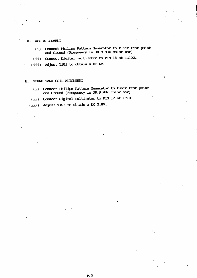#### D. AFC ALIGNMENT

- Connect Philips Pattern Generator to tuner test point  $(i)$ and Ground (Frequency is 38.9 Miz color bar)
- (ii) Connect Digital multimeter to PIN 18 at IC102.
- (iii) Adjust T101 to obtain a DC 6V.

#### SOUND TANK COIL ALIGNMENT  $E_{-}$

- (i) Connect Philips Pattern Generator to tuner test point and Ground (Frequency is 38.9 MHz color bar)
- (ii) Connect Digital multimeter to PIN 12 at IC101.
- (iii) Adjust T103 to obtain a DC 2.8V.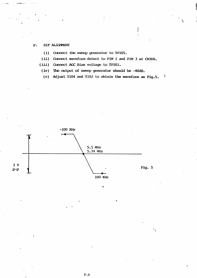#### SIF ALIGNMENT  $\mathbf{F}$ .

(i) Connect the sweep generator to TP105.

(ii) Connect waveform detect to PIN 1 and PIN 3 at CN306.

 $(iii)$ Connect AGC Bias voltage to TP101.

 $(iv)$ The output of sweep generator should be -40dB.

Adjust T104 and T102 to obtain the waveform as Fig.5.  $\mathbf{r}$  $(v)$ 

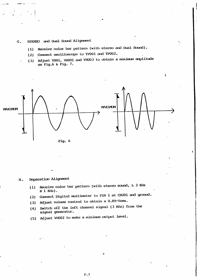#### STEREO and Dual Sound Alignment  $G<sub>z</sub>$

- Receive color bar pattern (with stereo and Dual Sound).  $(1)$
- Connect oscilloscope to TP001 and TP002.  $(2)$
- (3) Mojust T001, VR001 and VR003 to obtain a maximum amplitude as Fig.6 & Fig. 7.



#### Separation Alignment н.

- (1) Receive color bar pattern (with stereo sound, L 3 Kilz  $R$  1 KHz).
- Connect Digital multimeter to PIN 1 at CN201 and ground.  $(2)$
- Adjust volume control to obtain a 0.89/Vmms.  $(3)$
- Switch off the left channel signal (3 KHz) from the  $(4)$ signal generator.
- Adjust VR002 to make a minimum output level.  $(5)$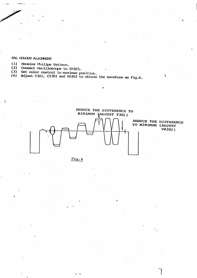#### **BUT COTOOLS VITTCAMENL**

 $\overline{\phantom{a}}$ 

- $(1)$ Receive Philips Pattern.
- Connect Oscilloscope to TP305.  $(2)$
- 
- (3) Set color control to maximum position.<br>(4) Adjust T301, CT301 and VR302 to obtain the waveform as Fig.6.



Ÿ

Fig.6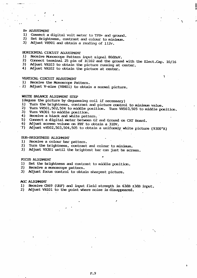#### B+ ADJUSIMENT

- 1) Connect a digital volt meter to TPB+ and ground.
- 2) Set Brightness, contrast and colour to minimum.
- 3) Adjust VR901 and obtain a reading of 112v.

#### HORIZONIAL CIRCUIT ADJUSIMENT

- $1)$ Receive Monoscope Pattern input signal 80dBuV.
- 2) Connect terminal 25 pin of IC102 and the ground with the Elect.Cap. 10/16
- $3)$ Adjust VR103 to obtain the picture running at center.
- 4) Adjust VR102 to obtain the picture at center.

#### VERTICAL CIRCUIT ADJUSTMENT

- Receive the Monoscope Pattern.  $1)$
- 2) Adjust V-size (VR401) to obtain a normal picture.

#### WHITE BALANCE ALIGNMENT STEP

(deguss the picture by deguassing coil if necessary)

- Turn the brightness, contrast and picture control to minimum value.  $\mathbf{1}$
- Turn VR501,502,504 to middle position. Turn VR503,505 to middle position. 2)
- 3) Turn VR301 to middle position.
- Receive a black and white pattern. 4)
- 5) Connect a digital meter between G2 and Ground on CRT Board.
- 6) Adjust screen volume on FBT to obtain a 310V.
- 7) Adjust  $vR502, 503, 504, 505$  to obtain a uniformly white picture (9300°K)

#### SUB-BRIGHINESS ALIGNMENT

- 1) Receive a colour bar pattern.
- Turn the brightness, contrast and colour to minimum. 2)
- 3) Adjust VR301 until the brightest bar can just be screen.

#### FOCUS ALIGNMENT

- 1) Set the brightness and contrast to middle position.
- 2) Receive a monoscope pattern.
- 3) Adjust focus control to obtain sharpest picture.

#### AGC ALIGNMENT

- 1) Receive CH69 (UHF) and input field strength in 63dB ±3dB input.
- 2) Adjust VR101 to the point where noise is disappeared.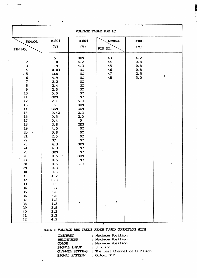| VOLTAGE TABLE FOR IC                                                                                                                                                                                                                                                                                           |                                                                                                                                                                                                                                                                                                                                 |                                                                                                                                                                                                                                                                                      |                                       |                                        |                                             |  |  |
|----------------------------------------------------------------------------------------------------------------------------------------------------------------------------------------------------------------------------------------------------------------------------------------------------------------|---------------------------------------------------------------------------------------------------------------------------------------------------------------------------------------------------------------------------------------------------------------------------------------------------------------------------------|--------------------------------------------------------------------------------------------------------------------------------------------------------------------------------------------------------------------------------------------------------------------------------------|---------------------------------------|----------------------------------------|---------------------------------------------|--|--|
| <b>SYMBOL</b>                                                                                                                                                                                                                                                                                                  | <b>IC801</b>                                                                                                                                                                                                                                                                                                                    | <b>IC804</b>                                                                                                                                                                                                                                                                         | <b>SYMBOL</b>                         | <b>IC801</b>                           |                                             |  |  |
| PIN NO.                                                                                                                                                                                                                                                                                                        | (V)                                                                                                                                                                                                                                                                                                                             | (V)                                                                                                                                                                                                                                                                                  | PIN NO.                               | (V)                                    |                                             |  |  |
| $\mathbf{1}$<br>$\frac{2}{3}$<br>$\boldsymbol{4}$<br>5<br>$\bf 6$<br>$\boldsymbol{7}$<br>$\bf 8$<br>$\mathbf{9}$<br>10<br>11<br>12<br>13<br>14<br>15<br>16<br>17<br>18<br>19<br>$20\,$<br>21<br>22<br>23<br>24<br>25<br>26<br>27<br>28<br>29<br>30<br>31<br>32<br>33<br>34<br>35<br>36<br>37<br>38<br>39<br>40 | 5<br>1.8<br>1.9<br>0.03<br><b>GEN</b><br>4.9<br>2.2<br>2.4<br>2.5<br>5.0<br><b>GEN</b><br>2.1<br>5<br><b>GEN</b><br>0.42<br>0.5<br>0.4<br>3.8<br>4.5<br>0.8<br>2.5<br>$\mathbf{N}$<br>4.3<br>4.3<br><b>GEN</b><br>0.5<br>0.5<br>0.5<br>0.3<br>0.5<br>4.2<br>0.3<br>$\mathbf 0$<br>3.7<br>3.6<br>3.6<br>1.2<br>1.3<br>3.8<br>2.2 | <b>GEN</b><br>4.2<br>4.3<br>NC<br>NC<br>NC<br>NC<br>NC<br>$\mathbf{NC}$<br>NC<br>NC<br>5.0<br><b>GEN</b><br><b>GEN</b><br>2.3<br>2.0<br>$\bf{0}$<br><b>GEN</b><br>$\mathbf{NC}$<br>NC<br>NC<br>$\mathbf{N}$<br><b>GEN</b><br>$\mathbf{N}$<br>$\mathbf{N}$<br><b>GEN</b><br>NC<br>5.0 | 43<br>44<br>45<br>46<br>47<br>48<br>t | 4.2<br>0.8<br>0.8<br>0.8<br>2.5<br>5.0 | ٠.<br>ţ<br>$\pmb{\mathsf{v}}$<br>$\epsilon$ |  |  |
| 41<br>42                                                                                                                                                                                                                                                                                                       | 2.2<br>4.2                                                                                                                                                                                                                                                                                                                      |                                                                                                                                                                                                                                                                                      |                                       |                                        |                                             |  |  |

ļ,

بر<br>2007ء – ب

#### NOIE : VOLTAGE ARE TAKEN UNDER TUNED CONDITION WITH

 $\overline{a}$ 

| <b>CONTRAST</b>  | : Maximum Position             |
|------------------|--------------------------------|
| <b>BRIGHNESS</b> | : Maximum Position             |
| <b>COLOR</b>     | : Maximum Position             |
| SIGNAL INPUT     | $\pm$ 80 dmv                   |
| CHANNEL SEITING  | : The Last Channel of UIF High |
| SIGNAL PATTERN   | : Colour Bar                   |
|                  |                                |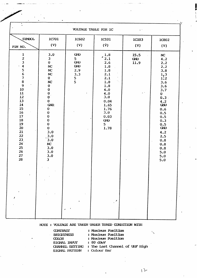| $\bullet$<br>٠<br>VOLTAGE TABLE FOR IC<br>$\mathbf{t}^{-1}$                                                                                                                                                   |                                                                                                                                                                                                                                                                                                                                           |                                                                                         |                                                                                                                                                    |                                        |                                                                                                                                                                                                                                                  |  |  |
|---------------------------------------------------------------------------------------------------------------------------------------------------------------------------------------------------------------|-------------------------------------------------------------------------------------------------------------------------------------------------------------------------------------------------------------------------------------------------------------------------------------------------------------------------------------------|-----------------------------------------------------------------------------------------|----------------------------------------------------------------------------------------------------------------------------------------------------|----------------------------------------|--------------------------------------------------------------------------------------------------------------------------------------------------------------------------------------------------------------------------------------------------|--|--|
| SYMBOL<br>PIN NO.                                                                                                                                                                                             | <b>IC701</b><br>(V)                                                                                                                                                                                                                                                                                                                       | IC602<br>(V)                                                                            | <b>IC101</b><br>$(\dot{V})$                                                                                                                        | <b>IC103</b><br>(V)                    | <b>IC802</b><br>(V)                                                                                                                                                                                                                              |  |  |
| $\frac{1}{2}$<br>$\frac{3}{4}$<br>5<br>6<br>7<br>8<br>$\overline{9}$<br>${\bf 10}$<br>11<br>12<br>13<br>14<br>15<br>16<br>17<br>${\bf 18}$<br>19<br>$\dot{z}$<br>21<br>22<br>23<br>24<br>25<br>26<br>27<br>28 | 3.0<br>$\mathbf{3}$<br>$\mathbf{O}$<br>NC<br>NC<br>NC<br>$\mathbf 0$<br>$\mathbf{NC}$<br>$\mathbf 0$<br>$\pmb{0}$<br>$\overline{0}$ .<br>$\mathbf 0$<br>$\mathbf 0$<br>GND.<br>$\bf{0}$<br>$\pmb{0}$<br>$\pmb{0}$<br>$\pmb{0}$<br>$\boldsymbol{0}$<br>$\bf{0}$<br>3.0<br>3.0<br>3.0<br>NC<br>3.0<br>3.0<br>3.0<br>$\overline{\mathbf{3}}$ | <b>GND</b><br>5 <sub>1</sub><br><b>GND</b><br><b>GND</b><br>2.9<br>3.3<br>$\frac{5}{5}$ | 1.8<br>2.1<br>2.6<br>1.8<br>1.8<br>2.1<br>2.1<br>ή.,<br>1.8<br>1.8<br>4.0<br>4.0<br>3.0<br>0.04<br>1.65<br>1.76<br>3.0<br>0.03<br>GWD<br>5<br>1.78 | 15.5<br><b>GND</b><br>11.9<br>$\sim$ 1 | $\mathbf{N}$<br>4.2<br>2.2<br>2.2<br>3.8<br>$\frac{1}{1}$<br>$\frac{3}{1}$<br>3.6<br>3.6<br>3.7<br>$\mathbf 0$<br>$0.3$ .<br>4.2<br><b>GND</b><br>0.6<br>0.5<br>0.5<br>0.3<br>0.5<br>GND<br>4.2<br>2.5<br>0.8<br>0.8<br>0.8<br>5.0<br>5.0<br>5.0 |  |  |

NOTE : VOLTAGE ARE TAKEN UNDER TUNED CONDITION WITH

| <b>CONTRAST</b><br><b>BRIGHINESS</b> | : Maximum Position<br>: Maximum Position |
|--------------------------------------|------------------------------------------|
| <b>COLOR</b>                         | : Maximum Position                       |
| SIGNAL INFUT                         | $: 80$ dBuV                              |
| <b>CHANNEL SETTING</b>               | : The Last Channel of UHF High           |
| SIGNAL PATTERN                       | : Colour Bar                             |

٦.

 $\bar{\lambda}$  the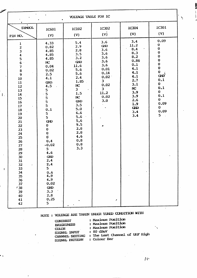| VOLTAGE TABLE FOR IC                                                                                                                                                                                                                       |                                                                                                                                                                                                                                                                                                                                                                  |                                                                                                                                                                                                                                 |                                                                                                                                                                  |                                                                                                                                                            |                                                                                                                                                                                                                            |  |  |
|--------------------------------------------------------------------------------------------------------------------------------------------------------------------------------------------------------------------------------------------|------------------------------------------------------------------------------------------------------------------------------------------------------------------------------------------------------------------------------------------------------------------------------------------------------------------------------------------------------------------|---------------------------------------------------------------------------------------------------------------------------------------------------------------------------------------------------------------------------------|------------------------------------------------------------------------------------------------------------------------------------------------------------------|------------------------------------------------------------------------------------------------------------------------------------------------------------|----------------------------------------------------------------------------------------------------------------------------------------------------------------------------------------------------------------------------|--|--|
| <b>SYMBOL</b><br>PIN NO.                                                                                                                                                                                                                   | IC601<br>(V)                                                                                                                                                                                                                                                                                                                                                     | IC102<br>(V)                                                                                                                                                                                                                    | IC302<br>(v)                                                                                                                                                     | IC304<br>(V)                                                                                                                                               | IC301<br>(V)                                                                                                                                                                                                               |  |  |
| $\mathbf 1$<br>23456789<br>10<br>11<br>12<br>$13\,$<br>${\bf 14}$<br>15<br>16<br>17<br>18<br>19<br>20<br>21<br>22<br>23<br>24<br>25<br>26<br>27<br>28<br>29<br>30<br>31<br>32<br>33<br>34<br>35<br>36<br>37<br>138<br>39<br>40<br>41<br>42 | 4.33<br>0.82<br>4.85<br>4.85<br>4.85<br>NC<br>0.04<br>0.02<br>2.5<br>4.1<br>GND.<br>4.5<br>5<br>5<br>5<br>5<br>$5\overline{)}$<br>0.1<br>5<br>5<br>GND<br>$\boldsymbol{0}$<br>$\mathbf 0$<br>$\begin{matrix} 0 \\ 0 \end{matrix}$<br>0.4<br>$-0.02$<br>5<br>4.6<br><b>GND</b><br>2.4<br>2.4<br>5<br>0.6<br>4.9<br>4.9<br>0.02<br>GND.<br>3.3<br>2.8<br>0.25<br>5 | 5.4<br>2.9<br>2.8<br>3.5<br>3.2<br>GVD<br>11.6<br>5.6<br>5.6<br>2:4<br>1.85<br>$\mathbf{N}$<br>3 <sup>1</sup><br>1.5<br>$\mathbf{N}$<br>GVD<br>3.5<br>5.0<br>6.6<br>5.6<br>5,6<br>9.5<br>2.8<br>2.8<br>4.6<br>0.8<br>0.8<br>3.3 | 3.6<br>GND<br>3.6<br>3.6<br>3.6<br>3.6<br>3.6<br>0.01<br>0.14<br>0.02<br>$\overline{\mathbf{3}}$<br>0.02<br>$\overline{\mathbf{3}}$<br>11.2<br>0.02<br>3.0<br>z. | 3.4<br>11.2<br>8.4<br>8.3<br>8.2<br>0.86<br>0.1<br>4.1<br>4.1<br>4.1<br>2.7<br>3.1<br>$\mathbf{N}$<br>3:9<br>3.9<br>2.6<br>1.9<br><b>GND</b><br>3.4<br>3.4 | 0.09<br>$\mathbf 0$<br>$\bf{0}$<br>$\bf{O}$<br>$\bf{0}$<br>$\begin{matrix} 0 \\ 0 \\ 0 \\ 0 \end{matrix}$<br>GND <sup>'</sup><br>0.1<br>$\bf{0}$<br>0.1<br>$\bf{0}$<br>0.1<br>$\bf{0}$<br>0.09<br>$\mathbf 0$<br>0.09<br>5 |  |  |

غز

 $\bar{1}$  .

 $\mathbf{I}$ 

۰,

 $\hat{\mathcal{L}}$ 

## NOTE : VOLTAGE ARE TAKEN UNDER TUNED CONDITION WITH

| <b>CONTRAST</b><br><b>BRIGHINESS</b><br>MOR<br>SIGNAL INPUT<br><b>GIANNEL SEITING</b><br>SIGNAL PATTEIN | : Maximum Position<br>: Maximum Position<br>: Maximum Position<br>$: 80$ dBuV<br>: The Last Channel of UHF High<br>: Colour Bar |  |
|---------------------------------------------------------------------------------------------------------|---------------------------------------------------------------------------------------------------------------------------------|--|
|---------------------------------------------------------------------------------------------------------|---------------------------------------------------------------------------------------------------------------------------------|--|

 $\bar{\Sigma}$ 

۰,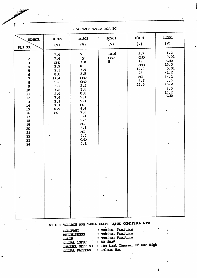| <b>VOLTAGE TABLE FOR IC</b><br>$\pmb{\mathsf{v}}$                                                                                                                                               |                                                                                                                                |                                                                                                                                                                                                                                           |                  |                                                                                                           |                                                                                                 |  |  |  |
|-------------------------------------------------------------------------------------------------------------------------------------------------------------------------------------------------|--------------------------------------------------------------------------------------------------------------------------------|-------------------------------------------------------------------------------------------------------------------------------------------------------------------------------------------------------------------------------------------|------------------|-----------------------------------------------------------------------------------------------------------|-------------------------------------------------------------------------------------------------|--|--|--|
| <b>SYMBOL</b><br>PIN NO.                                                                                                                                                                        | <b>IC305</b><br>(V)                                                                                                            | IC303<br>(V)                                                                                                                                                                                                                              | IC901<br>(V)     | <b>IC401</b><br>(V)                                                                                       | <b>IC201</b><br>(V)                                                                             |  |  |  |
| $\frac{1}{2}$<br>$\mathbf{3}$<br>$\boldsymbol{4}$<br>5678<br>$\overline{9}$<br>10<br>11<br>12 <sup>°</sup><br>13<br>14 <sup>·</sup><br>15<br>16<br>17<br>18<br>19<br>20<br>21<br>22<br>23<br>24 | 7.4<br>7.4<br><b>GND</b><br>2.2<br>2.3<br>8.0<br>11.4<br>5.6<br>3.2<br>7.8<br>2.9<br>7.6<br>2.1<br>7.1<br>0.9<br>$\mathbf{NC}$ | 5.1<br>$\mathbf{0}$<br>3.8<br>$\mathbf 0$<br>3.9<br>3.5<br>${\bf G}\!{\bf W}\!{\bf D}$<br>GND<br>3.3<br>3.8.<br>$\mathbf{0.8}$<br>5.1<br>5.1<br>$\mathbf{NC}$<br>4, 4<br>9.8<br>3.4<br>9.5<br>NC<br>3.1<br>NC<br>4.4<br><b>GND</b><br>5.1 | 10.6<br>GVD<br>5 | 1.2<br>${\bf G}\!{\bf W}\!{\bf D}$<br>1.3<br>$\cdot$ GND<br>12.6<br>$25\phantom{.0}$<br>NC<br>5.7<br>24.6 | 1.2<br>0.01<br>GND<br>15.3<br>0.01<br>1.2<br>14.2<br>$7.9$<br>15.2<br>8.0<br>14.2<br><b>GND</b> |  |  |  |
|                                                                                                                                                                                                 |                                                                                                                                |                                                                                                                                                                                                                                           |                  |                                                                                                           |                                                                                                 |  |  |  |

出地

## NOTE : VOLTAGE ARE TAKEN UNDER TUNED CONDITION WITH

| <b>CONTRAST</b>        | : Maximum Position             |
|------------------------|--------------------------------|
| <b>BRIGHINESSS</b>     | : Maximum Position             |
| <b>COLOR</b>           | : Maximum Position             |
| SIGNAL INFUI           | $: 80$ dBuV                    |
| <b>CIANNEL SEITING</b> | : The Last Channel of UIF High |
| SIGNAL PATTERN         | : Colour Bar                   |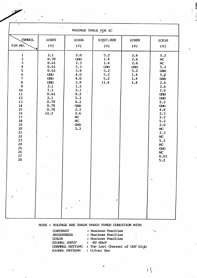| ÷                                                                                                                                                                                                                                                                                           |                                                                                                                               |                                                                                                                                        |                                                                   |                                                      |                                                                                                                                                                                                                                   |  |  |  |  |
|---------------------------------------------------------------------------------------------------------------------------------------------------------------------------------------------------------------------------------------------------------------------------------------------|-------------------------------------------------------------------------------------------------------------------------------|----------------------------------------------------------------------------------------------------------------------------------------|-------------------------------------------------------------------|------------------------------------------------------|-----------------------------------------------------------------------------------------------------------------------------------------------------------------------------------------------------------------------------------|--|--|--|--|
|                                                                                                                                                                                                                                                                                             | VOLTAGE TABLE FOR IC                                                                                                          |                                                                                                                                        |                                                                   |                                                      |                                                                                                                                                                                                                                   |  |  |  |  |
| SYMBOL                                                                                                                                                                                                                                                                                      | <b>IC005</b>                                                                                                                  | <b>IC006</b>                                                                                                                           | 1C007,008                                                         | IC009                                                | IC010                                                                                                                                                                                                                             |  |  |  |  |
| PIN NO.                                                                                                                                                                                                                                                                                     | (V)                                                                                                                           | (V)                                                                                                                                    | (V)                                                               | (V)                                                  | (V)                                                                                                                                                                                                                               |  |  |  |  |
| $\mathbf{1}$<br>$\overline{\mathbf{c}}$<br>$\mathbf{3}$<br>4<br>$\begin{array}{c} 5 \\ 6 \\ 7 \end{array}$<br>$\begin{array}{c} 8 \\ 9 \end{array}$<br>10<br>11<br>12<br>13<br>14<br>15<br>$\ddot{16}$<br>17.<br>${\bf 18}$<br>19<br>$20\,$<br>21<br>22<br>23<br>24<br>25<br>26<br>27<br>28 | 2.1<br>0.78<br>0.61<br>0.61<br>0.61<br><b>GND</b><br>GND<br>GND<br>3.1<br>7.1<br>0.61<br>2.1<br>0.78<br>0.78<br>.0.78<br>11.3 | 2.0<br>GND<br>2.3<br>5.3<br>3.9<br>4.0<br>4.0<br>3.9<br>1.2<br>2.1<br>4.2<br>5.3<br>4.2<br>GND<br>2.3<br>2.6<br>NC<br>NC<br>GVD<br>3.3 | 5.2<br>1.4<br>1.4<br><b>GND</b><br>5.2<br>5.2<br>5.2<br>11.4<br>÷ | 2.6<br>2.6<br>2.6<br>GND<br>5.2<br>1.4<br>1.4<br>1.4 | 5.2<br>NC<br>NC<br>5.2<br><b>GND</b><br>5.2<br><b>GND</b><br>2.6<br>2.6<br>2.6<br><b>GND</b><br><b>GND</b><br>5.2<br>GND<br>4.8<br>2.3<br>2.2<br>5.2<br>2.6<br>NC<br>2.3<br>$\mathbf{N}$<br>5.2<br>NC<br>GND<br>NC<br>0.03<br>5.2 |  |  |  |  |
|                                                                                                                                                                                                                                                                                             |                                                                                                                               |                                                                                                                                        |                                                                   |                                                      |                                                                                                                                                                                                                                   |  |  |  |  |
|                                                                                                                                                                                                                                                                                             |                                                                                                                               |                                                                                                                                        |                                                                   |                                                      |                                                                                                                                                                                                                                   |  |  |  |  |

NOTE : VOLTAGE ARE TAKEN UNDER TUNED CONDITION WITH

| <b>CONTRAST</b>             | : Maximum Position<br>٠                        |
|-----------------------------|------------------------------------------------|
| <b>BRIGHNESS</b>            | : Maximum Position                             |
| <b>COLOR</b>                | : Maximum Position                             |
| SIGNAL INFUT                | $: 80$ dBuV                                    |
|                             | CHANNEL SEITING : The Last Channel of UHF High |
| SIGNAL PATTERN : Colour Bar |                                                |

 $\frac{1}{2}$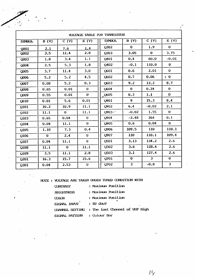|                  | VOLTAGE TABLE FOR TRANSISTOR |              |                        |                               |                |              |              |  |  |  |
|------------------|------------------------------|--------------|------------------------|-------------------------------|----------------|--------------|--------------|--|--|--|
| <b>SYMBOL</b>    | $\overline{B(V)}$            | C (V)        | E(V)                   | <b>SYMBOL</b>                 | B(V)           | C (V)        | E(V)         |  |  |  |
| Q001             | 2.1                          | 7.6          | 1.4                    | Q <sub>302</sub>              | $\bf{0}$       | 1.9          | $\mathbf 0$  |  |  |  |
| Q002             | 3.5                          | 11.4         | 2.8                    | Q303                          | 3.05           | $\bf{0}$     | 3.75         |  |  |  |
| Q <sub>003</sub> | 1.8                          | 3.4          | 1.1                    | Q401                          | 0.4            | 60.0         | $-0.01$      |  |  |  |
| Q <sub>004</sub> | 2.5                          | 5.3          | 1.8                    | Q402                          | $-0.1$         | 110.0        | $\mathbf 0$  |  |  |  |
| Q005             | 3.7                          | 11.4         | $\ddot{\textbf{3}}$ .0 | Q601                          | 0.6            | 2.01         | $\bf{0}$     |  |  |  |
| Q006             | 5.2                          | 5.2          | 4.5                    | Q602                          | 0.7            | 0.06         | $\ddot{ }$ 0 |  |  |  |
| Q007             | 0.08                         | 5.2          | 0.3                    | Q603                          | 9.2            | 12.2         | 8.7          |  |  |  |
| Q008             | 0.65                         | 0.01         | $\bf{0}$               | Q604                          | $\mathbf{0}$   | 0.24         | $\bf{0}$     |  |  |  |
| Q <sub>009</sub> | 0.55                         | 0.01         | $\mathbf{0}$           | $_{a}$ Q605                   | 0.3            | 1.1          | $\bf{0}$     |  |  |  |
| Q010             | 0.01                         | 5.6          | 0.01                   | Q901                          | 9 <sup>°</sup> | 15.3         | 8.4          |  |  |  |
| Q101             | 10.2                         | 10.9         | 11.1                   | Q902                          | 6.4            | $-0.02$      | 2.1          |  |  |  |
| Q102             | 11.1                         | $\mathbf 0$  | 11.1                   | $Q903 -$                      | $-0.02$        | 1.55         | $\bf{0}$     |  |  |  |
| Q103             | 0.65                         | 0.04         | $\bf{0}$               | Q904                          | $-2.48$        | 264          | 0.1          |  |  |  |
| Q104             | 0.04                         | 11.1         | $\mathbf{0}$           | Q905                          | 0.6            | 0.04         | $\mathbf 0$  |  |  |  |
| Q105             | 1.10                         | 7.3          | 0.4                    | Q906                          | 109.5          | 110          | 110.1        |  |  |  |
| Q106             | $\mathbf{0}$                 | 2.4          | $\mathbf{0}$           | Q907                          | 110            | 110.1        | 109.4        |  |  |  |
| Q107             | 0.04                         | 11.1         | $\mathbf{0}$           | Q501                          | 3.13           | 134.2        | 2.6          |  |  |  |
| Q108             | 11.1                         | $\mathbf{0}$ | 11.1                   | Q <sub>5</sub> 0 <sub>2</sub> | 3.6            | 128.4        | 2.6          |  |  |  |
| Q109             | 3.5                          | 11.1         | 2.8                    | Q503                          | 3.1            | 127.4        | 2.6          |  |  |  |
| Q201             | 16.3                         | 15.7         | 15.6                   | Q701                          | $\mathbf{0}$   | $\mathbf{3}$ | $\mathbf{O}$ |  |  |  |
| Q301             | 0.04                         | 2.53         | $\bf{0}$               | Q702                          | $\mathbf{3}$   | $-0.8$       | 3            |  |  |  |

 $\mathcal{P}$ 

NOTE : VOLTAGE ARE TAKEN UNDER TUNED CONDITION WITH

| <b>CONTRAST</b>  | : Maximum Position             |
|------------------|--------------------------------|
| <b>BRIGHNESS</b> | : Maximum Position             |
| <b>COLOR</b>     | : Maximum Position             |
| SIGNAL INFUT     | $: 80$ dBuV<br>$\blacksquare$  |
| CHANNEL SEITING  | : The last Channel of UNF High |
| SIGNAL PATTERN   | : Colour Bar                   |

 $16$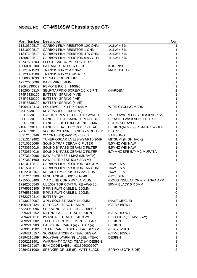### **MODEL NO.: CT-M516SW Chassis type GT-**

| Part Number | Description                         |                                | Qty                     |
|-------------|-------------------------------------|--------------------------------|-------------------------|
| 11310300517 | CARBON FILM RESISTOR 10K OHM        | $1/16W + 5%$                   |                         |
| 11310900517 | CARBON FILM RESISTOR 1 OHM          | $1/16W + 5%$                   | 1                       |
| 11347300517 | CARBON FILM RESISTOR 47K OHM        | $1/16W + 5%$                   | 1                       |
| 11368200517 | CARBON FILM RESISTOR 6.8K OHM       | $1/16W + 5%$                   | $\mathbf 1$             |
| 12747604203 | ELECT. CAP. 47 MFD 16V +-20%        |                                | $\mathbf{1}$            |
| 13060010100 | <b>INFRARED EMITTER EL-1L1</b>      | <b>KODENSHI</b>                | $\mathbf 1$             |
| 13121071929 | TRANSISTOR 2SA719R/S                | <b>MATSUSHITA</b>              | $\mathbf{1}$            |
| 13123094500 | <b>TRANSISTOR 2SC945 NEC</b>        |                                | 1                       |
| 13380301033 | I.C. SAA3010T PHILIPS               |                                | 1                       |
| 17272600099 | <b>BARE WIRE 54MM</b>               |                                | 0.1                     |
| 190R6330002 | REMOTE P.C.B. (140896)              |                                | 1                       |
| 51626040810 | SELF-TAPPING SCREW 2.6 X 8 P/T      | (HARDEN)                       | $\overline{c}$          |
| 774R6330100 | BATTERY SPRING (+VE)                |                                | 1                       |
| 774R6330200 | BATTERY SPRING (-VE)                |                                | 1                       |
| 774R6330300 | <b>BATTERY SPRING (+-VE)</b>        |                                | 1                       |
| 81004110413 | POLYBAG 4" X 11" X 0.04MM           | <b>W/RE-CYCLING MARK</b>       | 1                       |
| 849R6330100 | KEY PAD {FULL 40 KEYS}              |                                | 1                       |
| 892R6330102 | DIAL KEY PLATE - ENG STD W/RED      | /YELLOW/GREEN/BLUE/SILVER SS.  | 1                       |
| 900R6330103 | HANDSET TOP CABINET - MATT BLK.     | SPRAYED W/SILVER 8001C S.S.    | 1                       |
| 902R6330103 | HANDSET BOTTOM CABINET - MATT       | <b>BLACK SPRAYED</b>           | 1                       |
| 910R6330113 | HANDSET BATTERY DOOR - TEAC         | DESIGN (RC-652)(CT-M516SW)BLK  | 1                       |
| 973R6330100 | VOLUME/CHANNEL KNOB - MOULDED       | <b>BLACK</b>                   | 1                       |
| 00212100946 | 21" CRT (S/H) #A51KQK63X02          | <b>SAMSUNG</b>                 | 1                       |
| 00313142402 | TUNER OSCAR UVE33-W24/R16-3649      | MITSUMI (HIGH JACK)            | 1                       |
| 10710550066 | SOUND TRAP CERAMIC FILTER           | 5.5MHZ WEI HAW                 | 1                       |
| 10730550016 | SOUND BYPASS CERAMIC FILTER         | 5.5MHZ WEI HAW                 | 1                       |
| 10730574016 | SOUND BYPASS CERAMIC FILTER         | 5.74MHZ SFE-5.74MC MURATA      | 1                       |
| 10773340066 | SAW FILTER 33.4 MHZ (MURATA)        |                                | 1                       |
| 10773891600 | SAW FILTER TSF-5316 SANYO           |                                | 1                       |
| 11310110517 | CARBON FILM RESISTOR 100 OHM        | $1/4W + 5%$                    | $\boldsymbol{2}$        |
| 11315310517 | CARBON FILM RESISTOR 15K OHM        | $1/4W + 5%$                    | $\overline{\mathbf{c}}$ |
| 11322310167 | METAL FILM RESISTOR 22K OHM         | $1/4W + 1%$                    | 1                       |
| 16112140200 | MINI JACK #HSJ0914-01-040           | (HOSIDEN)                      | 1                       |
| 17155008400 | 7' AC LINE CORD W/7.5A PLUG         | (DOUB.INSULATION)2 PIN SAA APP | 1                       |
| 17262000540 | UL 1007 TOP COAT WIRE AWG 20        | 50MM BLACK 5 X 5MM             | 1                       |
| 17765510305 | 5 PINS FLAT CABLE L=100MM           |                                | 1                       |
| 17765510305 | 5 PINS FLAT CABLE L=100MM           |                                | 0                       |
| 18622750314 | <b>BATTERY 3A</b>                   |                                | $\overline{\mathbf{c}}$ |
| 19130130007 | 3 PIN SOCKET ASS'Y L=40MM           | (HALF CIRCLE)                  | 1                       |
| 61094210424 | <b>GIFT BOX - TEAC DESIGN</b>       | (CT-M516SW)                    | $\mathbf{1}$            |
| 66323058096 | SERIAL NO.LABEL - OC:GT-580/96      |                                | $\boldsymbol{2}$        |
| 66994210152 | RATING LABEL - TEAC DESIGN          | (CT-M516SW)                    | 1                       |
| 6709421001P | I/MANUAL - TEAC DESIGN W/           | DECODER (CT-M516SW)            | 1                       |
| 67892210302 | TELETEXT COMPLEMENT - TEAC          | <b>DESIGN</b>                  | 1                       |
| 67892210903 | EASY TUNE CARD (A) - TEAC (A)       | <b>DESIGN</b>                  | 1                       |
| 67893131502 | TOTAL CARE LABEL - TEAC DESIGN      | (BLK & WHITE)                  | 1                       |
| 67894210157 | <b>SCREEN STICKER - TEAC DESIGN</b> | (CT-M516SW)                    | 1                       |
| 67894210159 | POLYBAG WARNING LABEL - TEAC        | <b>DESIGN</b>                  | 1                       |
| 69092213901 | WARRANTY CARD- TEAC (A) DESIGN      |                                | 1                       |
| 69394210107 | EAN CODE LABEL - 9313060007607      |                                | $\mathbf{1}$            |
| 70394211000 | SPEAKER GRILLE (B) -MATT BLACK      | SPRAY (BOTH SIDE)              | $\overline{2}$          |
|             |                                     |                                |                         |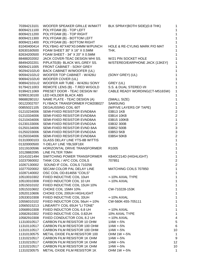| 70394213101 | WOOFER SPEAKER GRILLE W/MATT          | BLK SPRAY(BOTH SIDE)(0.8 THK)  | 1              |
|-------------|---------------------------------------|--------------------------------|----------------|
| 80094211100 | POLYFOAM (B) - TOP LEFT               |                                |                |
| 80094211200 | POLYFOAM (B) - TOP RIGHT              |                                | 1              |
| 80094211300 | POLYFOAM (B) - BOTTOM LEFT            |                                | 1              |
| 80094211400 | POLYFOAM (B) - BOTTOM RIGHT           |                                | 1              |
| 81040400414 | POLYBAG 40"X40"X0.04MM W/PUNCH        | HOLE & RE-CYLING MARK P/O MAT  |                |
| 82630160500 | FOAM SHEET 30" X 16" X 0.5MM          | THK.                           |                |
| 82634200500 | FOAM SHEET - 34" X 20" X 0.5MM        |                                | 1              |
| 88488202002 | JACK COVER-TEAC DESIGN WHI SS.        | W/21 PIN SOCKET HOLE           | 1              |
| 88494202201 | P/PLATE(B)- BLACK W/L.GREY SS.        | W/STEREO/EARPHONE JACK {13KEY} | 1              |
| 90094211005 | FRONT CABINET - SONY GREY             |                                | 1              |
| 902942102U0 | BACK CABINET W/WOOFER (UL)            |                                | 1              |
| 905942102U2 | WOOFER TOP CABINET - W/426U           | (SONY GREY) (UL)               | 1              |
| 906942102U0 | WOOFER COVER (UL)                     |                                | 1              |
| 908942101U2 | WOOFER AIR TUBE - W/426U SONY         | GREY (UL)                      | 1              |
| 91794211003 | REMOTE LENS (B) - T.RED W/GOLD        | S.S. & DUAL STEREO I/II        | 1              |
| 91994211069 | PRESET DOOR - TEAC DESIGN W/          | CABLE READY WORDING(CT-M516SW) | 1              |
| 92993130100 | LED HOLDER BLACK ABS                  |                                | 1              |
| 9868828010J | NAME PLATE - TEAC DESIGN (A)          | (SMALL SIZE)                   | 1              |
| 00122002707 | FLYBACK TRANSFORMER FCM20B027         | <b>SAMSUNG</b>                 | $\mathbf 1$    |
| 00855021105 | DEGAUSSING COIL 60T                   | (W/FIVE LAYERS OF TAPE)        | $\mathbf 1$    |
| 01210234006 | SEMI-FIXED RESISTOR EVND8AA           | 03B13 1KB                      | $\overline{c}$ |
| 01210334006 | SEMI-FIXED RESISTOR EVND8AA           | 03B14 10KB                     | $\overline{c}$ |
| 01210434006 | SEMI-FIXED RESISTOR EVND8AA           | 03B15 100KB                    | 1              |
| 01230133006 | SEMI-FIXED RESISTOR EVND2AA           | 03B32 300B                     | $\overline{2}$ |
| 01250134006 | SEMI-FIXED RESISTOR EVND 8AA          | 03B52 500B                     | 3              |
| 01250233006 | SEMI-FIXED RESISTOR EVND2AA           | 03B53 5KB                      | 3              |
| 01250334006 | SEMI-FIXED RESISTOR EVND8AA           | 03B54 50KB                     | $\overline{c}$ |
| 01310000103 | <b>GLASS DELAY LINE YTS-8B WITTIS</b> |                                | 1              |
| 01320000500 | Y-DELAY LINE YBL50F18X                |                                | 1              |
| 10119100596 | HORIZONTAL DRIVE TRANSFORMER          | R <sub>1005</sub>              | $\mathbf 1$    |
| 10128882095 | LINE FILTER 70MH                      |                                | $\mathbf 1$    |
| 10141021494 | SWITCHING POWER TRANSFORMER           | KB40C214D (HIGHLIGHT)          | 1              |
| 10237060002 | TANK COIL / AFC COIL COILS            | 707851                         | $\overline{2}$ |
| 10267130002 | SOUND IF COIL. COILS 710256           |                                | $\overline{2}$ |
| 10277020002 | SECAM COLOR PAL DELAY LINE            | MATCHING COILS 707850          | 1              |
| 10287140002 | OSC COIL OD-814656 "COILS"            |                                | 1              |
| 10510010302 | FIXED INDUCTIVE COIL 10uH             | +-10% AXIAL TYPE               | 1              |
| 10510010308 | FIXED INDUCTOR COIL 10 UH             | +-10% AXIAL                    | 1              |
| 10515010102 | FIXED INDUCTIVE COIL 15UH 10%         |                                | 1              |
| 10515310602 | CHOKE COIL 15MH 10%                   | CW-710228-153K                 | 1              |
| 10520110606 | CHOKE COIL 200UH HIGHLIGHT            |                                | $\mathbf 1$    |
| 10533010308 | FIXED INDUCTIVE COIL 33UH             | +-10% AXIAL                    | 1              |
| 10556010102 | FIXED INDUCTOR COIL 56uH +-10%        | CW-560K-455-705111             | 1              |
| 10565015213 | LINEARITY COIL 65UH "LI TONE"         |                                | 1              |
| 10568910308 | FIXED INDUCTOR COIL 6.8 UH            | +-10% AXIAL                    | $\mathbf{1}$   |
| 10582810302 | FIXED INDUCTIVE COIL 0.82UH           | 10% AXIAL TYPE                 | $\mathbf 1$    |
| 10582910308 | FIXED CONDUCTOR COIL 8.2 UH           | +-10% AXIAL                    | 4              |
| 11310010517 | CARBON FILM RESISTOR 10 OHM           | $1/4W + 5%$                    | 5              |
| 11310110517 | CARBON FILM RESISTOR 100 OHM          | $1/4W + 5%$                    | 6              |
| 11310110517 | CARBON FILM RESISTOR 100 OHM          | $1/4W + 5%$                    | 10             |
| 11310130575 | METAL OXIDE FILM RESISTOR 100         | OHM 1W +-5%                    | $\mathbf 1$    |
| 11310210517 | CARBON FILM RESISTOR 1K OHM           | $1/4W + 5%$                    | 9              |
| 11310210517 | CARBON FILM RESISTOR 1K OHM           | $1/4W + 5%$                    | 12             |
| 11310210517 | CARBON FILM RESISTOR 1K OHM           | $1/4W + 5%$                    | 10             |
| 11310230575 | METAL OXIDE FILM RESISTOR 1K          | OHM 1W +-5%                    | 1              |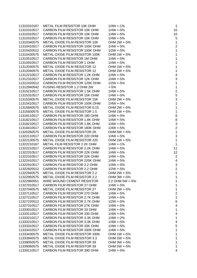| 11310310167 | METAL FILM RESISTOR 10K OHM          | $1/4W + 1%$     | $\overline{1}$           |
|-------------|--------------------------------------|-----------------|--------------------------|
| 11310310517 | CARBON FILM RESISTOR 10K OHM         | $1/4W + 5%$     | 10                       |
| 11310310517 | CARBON FILM RESISTOR 10K OHM         | $1/4W + 5%$     | 10                       |
| 11310310517 | CARBON FILM RESISTOR 10K OHM         | $1/4W + 5%$     | 5                        |
| 11310340575 | METAL OXIDE FILM RESISTOR 10K        | OHM 2W +-5%     | 1                        |
| 11310410517 | CARBON FILM RESISTOR 100K OHM        | $1/4W + 5%$     | $\overline{\mathbf{c}}$  |
| 11310420512 | CARBON FILM RESISTOR 100K OHM        | $1/2W + 5%$     | 1                        |
| 11310430575 | METAL OXIDE FILM RESISTOR 100K       | OHM 1W +-5%     | $\overline{1}$           |
| 11310510517 | CARBON FILM RESISTOR 1M OHM          | $1/4W + 5%$     | $\overline{1}$           |
| 11310910517 | CARBON FILM RESISTOR 1 OHM           | $1/4W + 5%$     | $\mathbf 1$              |
| 11312030575 | METAL OXIDE FILM RESISTOR 12         | OHM 1W +-5%     | $\mathbf 1$              |
| 11312040575 | METAL OXIDE FILM RESISTOR 12         | OHM 2W +-5%     | $\mathbf 1$              |
| 11312210517 | CARBON FILM RESISTOR 1.2K OHM        | $1/4W + 5%$     | $\overline{\mathcal{A}}$ |
| 11312310517 | CARBON FILM RESISTOR 12K OHM         | $1/4W + 5%$     | 3                        |
| 11312420512 | CARBON FILM RESISTOR 120K OHM        | $1/2W + 5%$     | $\mathbf 1$              |
| 11312940542 | FUSING RESISTOR 1.2 OHM 2W           | $+5%$           | $\mathbf 1$              |
| 11315210517 | CARBON FILM RESISTOR 1.5K OHM        | $1/4W + 5%$     | $\overline{a}$           |
| 11315310517 | CARBON FILM RESISTOR 15K OHM         | $1/4W + 5%$     | 5                        |
| 11315340575 | METAL OXIDE FILM RESISTOR 15K        | OHM 2W +-5%     | 3                        |
| 11315410517 | CARBON FILM RESISTOR 150K OHM        | $1/4W + 5%$     | $\mathbf 1$              |
| 11315840575 | METAL OXIDE FILM RESISTOR 0.15       | OHM 2W +-5%     | $\overline{1}$           |
| 11315930575 | METAL OXIDE FILM RESISTOR 1.5        | OHM 1W +-5%     | $\overline{1}$           |
| 11318110517 | CARBON FILM RESISTOR 180 OHM         | $1/4W + 5%$     | $\overline{6}$           |
| 11318210517 | CARBON FILM RESISTOR 1.8K OHM        | $1/4W + 5%$     | 8                        |
| 11318210517 | CARBON FILM RESISTOR 1.8K OHM        | $1/4W + 5%$     | 3                        |
| 11318410517 | CARBON FILM RESISTOR 180K OHM        | $1/4W + 5%$     | $\overline{c}$           |
| 11320260575 | METAL OXIDE FILM RESISTOR 2K         | OHM 5W +-5%     | $\mathbf 1$              |
| 11322110517 | CARBON FILM RESISTOR 220 OHM         | $1/4W + 5%$     | 3                        |
| 11322130575 | METAL OXIDE FILM RESISTOR 220        | OHM 1W +-5%     | $\mathbf 1$              |
| 11322210167 | METAL FILM RESISTOR 2.2K OHM         | $1/4W + 1%$     | $\overline{1}$           |
| 11322210517 | CARBON FILM RESISTOR 2.2K OHM        | $1/4W + 5%$     | 11                       |
| 11322310517 | CARBON FILM RESISTOR 22K OHM         | $1/4W + 5%$     | 12                       |
| 11322310517 | CARBON FILM RESISTOR 22K OHM         | $1/4W + 5%$     | $\overline{c}$           |
| 11322410517 | CARBON FILM RESISTOR 220K OHM        | $1/4W + 5%$     | $\overline{4}$           |
| 11322910517 | CARBON FILM RESISTOR 2.2 OHM         | $1/4W + 5%$     | 3                        |
| 11322920512 | CARBON FILM RESISTOR 2.2 OHM         | $1/2W + 5%$     | $\overline{c}$           |
| 11322940575 | METAL OXIDE FILM RESISTOR 2.2        | OHM 2W +-5%     |                          |
| 11322950575 | <b>METAL OXIDE FILM RESISTOR 2.2</b> | OHM 3W +-5%     | 1                        |
| 11322960551 | WIRE WOUND CEMENT RESISTOR           | 2.2 OHM 5W +-5% | 1                        |
| 11327010517 | CARBON FILM RESISTOR 27 OHM          | $1/4W + 5%$     | 1                        |
| 11327040575 | METAL OXIDE FILM RESISTOR 27         | OHM 2W +-5%     | 1                        |
| 11327110517 | CARBON FILM RESISTOR 270 OHM         | $1/4W + 5%$     | $\overline{c}$           |
| 11327210517 | CARBON FILM RESISTOR 2.7K OHM        | $1/4W + 5%$     | 1                        |
| 11327220512 | CARBON FILM RESISTOR 2.7K OHM        | $1/2W + 5%$     | 6                        |
| 11327310517 | CARBON FILM RESISTOR 27K OHM         | $1/4W + 5%$     | 4                        |
| 11333010517 | CARBON FILM RESISTOR 33 OHM          | $1/4W + 5%$     | 1                        |
| 11333110517 | CARBON FILM RESISTOR 330 OHM         | $1/4W + 5%$     | 4                        |
| 11333210217 | CARBON FILM RESISTOR 3.3K OHM        | $1/4W + 2%$     | 1                        |
| 11333210517 | CARBON FILM RESISTOR 3.3K OHM        | $1/4W + 5%$     | 4                        |
| 11333310517 | CARBON FILM RESISTOR 33K OHM         | $1/4W + 5%$     | 5                        |
| 11333410517 | CARBON FILM RESISTOR 330K OHM        | $1/4W + 5%$     | 1                        |
| 11333430575 | METAL OXIDE FILM RESISTOR 330K       | OHM 1W +-5%     | 1                        |
| 11333940575 | <b>METAL OXIDE FILM RESISTOR 3.3</b> | OHM 2W +-5%     | 1                        |
| 11339050575 | <b>METAL OXIDE FILM RESISTOR 39</b>  | OHM 3W +-5%     | 1                        |
| 11339060575 | METAL OXIDE FILM RESISTOR 39         | OHM 5W +-5%     | 1                        |
| 11339110517 | CARBON FILM RESISTOR 390 OHM         | $1/4W + 5%$     | 4                        |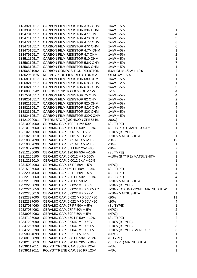CARBON FILM RESISTOR 3.9K OHM 1/4W +-5% 2 CARBON FILM RESISTOR 39K OHM 1/4W +-5% 1 11347010517 CARBON FILM RESISTOR 47 OHM 1/4W +-5% 4 CARBON FILM RESISTOR 470 OHM 1/4W +-5% 3 CARBON FILM RESISTOR 4.7K OHM 1/4W +-5% 8 CARBON FILM RESISTOR 47K OHM 1/4W +-5% 6 CARBON FILM RESISTOR 4.7M OHM 1/4W +-5% 1 11347910517 CARBON FILM RESISTOR 4.7 OHM 1/4W +-5% 2 CARBON FILM RESISTOR 510 OHM 1/4W +-5% 1 CARBON FILM RESISTOR 5.6K OHM 1/4W +-5% 7 CARBON FILM RESISTOR 56K OHM 1/4W +-5% 1 CARBON COMPOSITION RESISTOR 5.6M OHM 1/2W +-10% 2 METAL OXIDE FILM RESISTOR 6.2 OHM 3W +-5% 1 CARBON FILM RESISTOR 680 OHM 1/4W +-5% 1 CARBON FILM RESISTOR 6.8K OHM 1/4W +-2% 1 CARBON FILM RESISTOR 6.8K OHM 1/4W +-5% 3 FUSING RESISTOR 0.68 OHM 1W +-5% 4 11375010517 CARBON FILM RESISTOR 75 OHM 1/4W +-5% 4 11382010517 CARBON FILM RESISTOR 82 OHM 1/4W +-5% 2 CARBON FILM RESISTOR 820 OHM 1/4W +-5% 2 CARBON FILM RESISTOR 8.2K OHM 1/4W +-5% 4 CARBON FILM RESISTOR 82K OHM 1/4W +-5% 1 CARBON FILM RESISTOR 820K OHM 1/4W +-5% 1 THERMISTOR (NICHICON ZPB53 BL 200C) 1 CERAMIC CAP. 10PF +-5% 50V (SL TYPE) 1 CERAMIC CAP. 100 PF 50V +-10% (SL TYPE) "SMART GOOD" 1 12310235090 CERAMIC CAP. 0.001 MFD 50V +-10% (B TYPE) 5 CERAMIC CAP. 0.001 MFD 2KV +-10% MATSUSHITA 1 12310337090 CERAMIC CAP. 0.01 MFD 50V +80 -20% 12 12310337090 CERAMIC CAP. 0.01 MFD 50V +80 -20% -20% 1 -1 CERAMIC CAP. 0.1 MFD 25V +80 -20% 7 CERAMIC CAP. 120 PF 50V +-10% (SL TYPE) 3 CERAMIC CAP. 0.0012 MFD 500V +-10% (B TYPE) MATSUSHITA 1 CERAMIC CAP. 0.0012 2KV +-10% 1 CERAMIC CAP. 15 PF 50V +-5% (NPO) 1 CERAMIC CAP 150 PF 50V +-10% (SL TYPE) 1 CERAMIC CAP. 22 PF 50V +-5% (SL TYPE) 4 CERAMIC CAP. 220 PF 50V +-10% (SL TYPE) 4 12322155190 CERAMIC CAP. 220 PF 500V +-10% MATSUSHITA 1 CERAMIC CAP. 0.0022 MFD 50V +-10% (B TYPE) 1 CERAMIC CAP. 0.0022 MFD 400VAC +-20% ECKDNA222ME "MATSUSHITA" 1 12322285010 CERAMIC CAP. 0.0022 MFD 2KV +-10% MATSUSHITA 1 12322337090 CERAMIC CAP. 0.022 MFD 50V +80 -20% 20% 11 12322337090 CERAMIC CAP. 0.022 MFD 50V +80 -20% 20% 4 CERAMIC CAP. 27 PF 50V +-5% (SL-TYPE) 1 CERAMIC CAP. 27PF 50V +-5% (NPO) 2 CERAMIC CAP. 39PF 50V +-5% (NPO) 1 CERAMIC CAP. 470 PF 50V +-10% (SL TYPE) 2 CERAMIC CAP. 0.0047 MFD 50V +-10% (B TYPE) 2 CERAMIC CAP. 0.0047 MFD 500V +-10% (B TYPE) 3 CERAMIC CAP. 0.0047 MFD 500V +-10% (B TYPE) SMALL SIZE 3 CERAMIC CAP. 5 PF 50V +-5% (NPO) 1 CERAMIC CAP. 680 PF 50V +-10% (B TYPE) 1 CERAMIC CAP. 820 PF 2KV +-10% (SL TYPE) MATSUSHITA 1 POLYSTYRENE CAP. 360PF 125V +-5% 1 POLYSTYRENE CAP. 390 PF 125V +-5% 1

| $1/4W + 5%$<br>$1/4W + 5%$<br>$1/4W + 5%$<br>$1/4W + 5%$<br>$1/4W + 5%$<br>$1/4W + 5%$<br>$1/4W + 5%$<br>$1/4W + 5%$<br>$1/4W + 5%$<br>$1/4W + 5%$<br>5.6M OHM 1/2W +-10%<br>OHM 3W +-5%<br>$1/4W + 5%$<br>$1/4W + 2%$<br>$1/4W + 5%$<br>$+5%$<br>$1/4W + 5%$<br>$1/4W + 5%$<br>$1/4W + 5%$<br>$1/4W + 5%$<br>$1/4W + 5%$<br>$1/4W + 5%$<br>200C)<br>(SL TYPE)<br>(SL TYPE) "SMART GOOD"<br>+-10% (B TYPE)<br>+-10% MATSUSHITA<br>$-20%$<br>1<br>$-20%$<br>$-20%$<br>(SL TYPE)<br>+-10% (B TYPE) MATSUSHITA<br>(NPO)<br>(SL TYPE)<br>(SL TYPE)<br>(SL TYPE)<br>+-10% MATSUSHITA<br>+-10% (B TYPE)<br>+-20% ECKDNA222ME "MATSUSHITA"<br>+-10% MATSUSHITA<br>$-20%$<br>1<br>$-20%$<br>(SL-TYPE)<br>(NPO)<br>(NPO)<br>(SL TYPE)<br>+-10% (B TYPE)<br>+-10% (B TYPE)<br>+-10% (B TYPE) SMALL SIZE<br>(NPO)<br>(B TYPE)<br>(SL TYPE) MATSUSHITA<br>$+5%$ | $1/4W + 5%$ |  |
|-----------------------------------------------------------------------------------------------------------------------------------------------------------------------------------------------------------------------------------------------------------------------------------------------------------------------------------------------------------------------------------------------------------------------------------------------------------------------------------------------------------------------------------------------------------------------------------------------------------------------------------------------------------------------------------------------------------------------------------------------------------------------------------------------------------------------------------------------------|-------------|--|
|                                                                                                                                                                                                                                                                                                                                                                                                                                                                                                                                                                                                                                                                                                                                                                                                                                                     |             |  |
|                                                                                                                                                                                                                                                                                                                                                                                                                                                                                                                                                                                                                                                                                                                                                                                                                                                     |             |  |
|                                                                                                                                                                                                                                                                                                                                                                                                                                                                                                                                                                                                                                                                                                                                                                                                                                                     |             |  |
|                                                                                                                                                                                                                                                                                                                                                                                                                                                                                                                                                                                                                                                                                                                                                                                                                                                     |             |  |
|                                                                                                                                                                                                                                                                                                                                                                                                                                                                                                                                                                                                                                                                                                                                                                                                                                                     |             |  |
|                                                                                                                                                                                                                                                                                                                                                                                                                                                                                                                                                                                                                                                                                                                                                                                                                                                     |             |  |
|                                                                                                                                                                                                                                                                                                                                                                                                                                                                                                                                                                                                                                                                                                                                                                                                                                                     |             |  |
|                                                                                                                                                                                                                                                                                                                                                                                                                                                                                                                                                                                                                                                                                                                                                                                                                                                     |             |  |
|                                                                                                                                                                                                                                                                                                                                                                                                                                                                                                                                                                                                                                                                                                                                                                                                                                                     |             |  |
|                                                                                                                                                                                                                                                                                                                                                                                                                                                                                                                                                                                                                                                                                                                                                                                                                                                     |             |  |
|                                                                                                                                                                                                                                                                                                                                                                                                                                                                                                                                                                                                                                                                                                                                                                                                                                                     |             |  |
|                                                                                                                                                                                                                                                                                                                                                                                                                                                                                                                                                                                                                                                                                                                                                                                                                                                     |             |  |
|                                                                                                                                                                                                                                                                                                                                                                                                                                                                                                                                                                                                                                                                                                                                                                                                                                                     |             |  |
|                                                                                                                                                                                                                                                                                                                                                                                                                                                                                                                                                                                                                                                                                                                                                                                                                                                     |             |  |
|                                                                                                                                                                                                                                                                                                                                                                                                                                                                                                                                                                                                                                                                                                                                                                                                                                                     |             |  |
|                                                                                                                                                                                                                                                                                                                                                                                                                                                                                                                                                                                                                                                                                                                                                                                                                                                     |             |  |
|                                                                                                                                                                                                                                                                                                                                                                                                                                                                                                                                                                                                                                                                                                                                                                                                                                                     |             |  |
|                                                                                                                                                                                                                                                                                                                                                                                                                                                                                                                                                                                                                                                                                                                                                                                                                                                     |             |  |
|                                                                                                                                                                                                                                                                                                                                                                                                                                                                                                                                                                                                                                                                                                                                                                                                                                                     |             |  |
|                                                                                                                                                                                                                                                                                                                                                                                                                                                                                                                                                                                                                                                                                                                                                                                                                                                     |             |  |
|                                                                                                                                                                                                                                                                                                                                                                                                                                                                                                                                                                                                                                                                                                                                                                                                                                                     |             |  |
|                                                                                                                                                                                                                                                                                                                                                                                                                                                                                                                                                                                                                                                                                                                                                                                                                                                     |             |  |
|                                                                                                                                                                                                                                                                                                                                                                                                                                                                                                                                                                                                                                                                                                                                                                                                                                                     |             |  |
|                                                                                                                                                                                                                                                                                                                                                                                                                                                                                                                                                                                                                                                                                                                                                                                                                                                     |             |  |
|                                                                                                                                                                                                                                                                                                                                                                                                                                                                                                                                                                                                                                                                                                                                                                                                                                                     |             |  |
|                                                                                                                                                                                                                                                                                                                                                                                                                                                                                                                                                                                                                                                                                                                                                                                                                                                     |             |  |
|                                                                                                                                                                                                                                                                                                                                                                                                                                                                                                                                                                                                                                                                                                                                                                                                                                                     |             |  |
|                                                                                                                                                                                                                                                                                                                                                                                                                                                                                                                                                                                                                                                                                                                                                                                                                                                     |             |  |
|                                                                                                                                                                                                                                                                                                                                                                                                                                                                                                                                                                                                                                                                                                                                                                                                                                                     |             |  |
|                                                                                                                                                                                                                                                                                                                                                                                                                                                                                                                                                                                                                                                                                                                                                                                                                                                     |             |  |
|                                                                                                                                                                                                                                                                                                                                                                                                                                                                                                                                                                                                                                                                                                                                                                                                                                                     |             |  |
|                                                                                                                                                                                                                                                                                                                                                                                                                                                                                                                                                                                                                                                                                                                                                                                                                                                     |             |  |
|                                                                                                                                                                                                                                                                                                                                                                                                                                                                                                                                                                                                                                                                                                                                                                                                                                                     |             |  |
|                                                                                                                                                                                                                                                                                                                                                                                                                                                                                                                                                                                                                                                                                                                                                                                                                                                     |             |  |
|                                                                                                                                                                                                                                                                                                                                                                                                                                                                                                                                                                                                                                                                                                                                                                                                                                                     |             |  |
|                                                                                                                                                                                                                                                                                                                                                                                                                                                                                                                                                                                                                                                                                                                                                                                                                                                     |             |  |
|                                                                                                                                                                                                                                                                                                                                                                                                                                                                                                                                                                                                                                                                                                                                                                                                                                                     |             |  |
|                                                                                                                                                                                                                                                                                                                                                                                                                                                                                                                                                                                                                                                                                                                                                                                                                                                     |             |  |
|                                                                                                                                                                                                                                                                                                                                                                                                                                                                                                                                                                                                                                                                                                                                                                                                                                                     |             |  |
|                                                                                                                                                                                                                                                                                                                                                                                                                                                                                                                                                                                                                                                                                                                                                                                                                                                     |             |  |
|                                                                                                                                                                                                                                                                                                                                                                                                                                                                                                                                                                                                                                                                                                                                                                                                                                                     |             |  |
|                                                                                                                                                                                                                                                                                                                                                                                                                                                                                                                                                                                                                                                                                                                                                                                                                                                     |             |  |
|                                                                                                                                                                                                                                                                                                                                                                                                                                                                                                                                                                                                                                                                                                                                                                                                                                                     |             |  |
|                                                                                                                                                                                                                                                                                                                                                                                                                                                                                                                                                                                                                                                                                                                                                                                                                                                     |             |  |
|                                                                                                                                                                                                                                                                                                                                                                                                                                                                                                                                                                                                                                                                                                                                                                                                                                                     |             |  |
|                                                                                                                                                                                                                                                                                                                                                                                                                                                                                                                                                                                                                                                                                                                                                                                                                                                     |             |  |
|                                                                                                                                                                                                                                                                                                                                                                                                                                                                                                                                                                                                                                                                                                                                                                                                                                                     |             |  |
|                                                                                                                                                                                                                                                                                                                                                                                                                                                                                                                                                                                                                                                                                                                                                                                                                                                     |             |  |
|                                                                                                                                                                                                                                                                                                                                                                                                                                                                                                                                                                                                                                                                                                                                                                                                                                                     |             |  |
|                                                                                                                                                                                                                                                                                                                                                                                                                                                                                                                                                                                                                                                                                                                                                                                                                                                     |             |  |
|                                                                                                                                                                                                                                                                                                                                                                                                                                                                                                                                                                                                                                                                                                                                                                                                                                                     |             |  |
|                                                                                                                                                                                                                                                                                                                                                                                                                                                                                                                                                                                                                                                                                                                                                                                                                                                     |             |  |
|                                                                                                                                                                                                                                                                                                                                                                                                                                                                                                                                                                                                                                                                                                                                                                                                                                                     |             |  |
|                                                                                                                                                                                                                                                                                                                                                                                                                                                                                                                                                                                                                                                                                                                                                                                                                                                     |             |  |
|                                                                                                                                                                                                                                                                                                                                                                                                                                                                                                                                                                                                                                                                                                                                                                                                                                                     |             |  |
|                                                                                                                                                                                                                                                                                                                                                                                                                                                                                                                                                                                                                                                                                                                                                                                                                                                     |             |  |
|                                                                                                                                                                                                                                                                                                                                                                                                                                                                                                                                                                                                                                                                                                                                                                                                                                                     |             |  |
|                                                                                                                                                                                                                                                                                                                                                                                                                                                                                                                                                                                                                                                                                                                                                                                                                                                     | $+5%$       |  |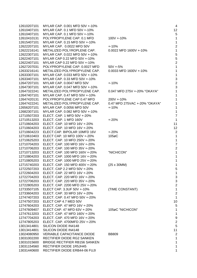MYLAR CAP. 0.001 MFD 50V +-10% 4 MYLAR CAP. 0.1 MFD 50V +-10% 12 MYLAR CAP. 0.1 MFD 50V +-10% 5 12610410131 POLYPROPYLENE CAP. 0.1 MFD 100V +-10% 100V +-10% MYLAR CAP. 0.15 MFD 50V +-10% 1 MYLAR CAP. 0.0022 MFD 50V +-10% 2 METALIZED POLYROPLENE CAP. 0.0022 MFD 1600V +-10% 1 MYLAR CAP. 0.022 MFD 50V +-10% 5 MYLAR CAP 0.22 MFD 50V +-10% 5 MYLAR CAP 0.22 MFD 50V +-10% 2 POLYPROPYLENE CAP. 0.0027 MFD 50V +-5% 1 METALIZED POLYPROPYLENE CAP. 0.0033 MFD 1600V +-10% 1 MYLAR CAP. 0.033 MFD 50V +-10% 1 MYLAR CAP. 0.33 MFD 50V +-10% 3 MYLAR CAP. 0.0047 MFD 50V +-10% 2 MYLAR CAP. 0.047 MFD 50V +-10% 3 METALIZED POLYPROPYLENE CAP. 0.047 MFD 275V +-20% "OKAYA" 1 MYLAR CAP. 0.47 MFD 50V +-10% 1 POLYPROPYLENE CAP 0.47 MFD 200V +-10% 1 METALIZED POLYPROPYLENE CAP. 0.47 MFD 275VAC +-20% "OKAYA" 1 MYLAR CAP. 0.0056 MFD 50V +-10% 1 MYLAR CAP. 0.082 MFD 50V +-10% 1 ELECT. CAP. 1 MFD 50V +-20% 7 ELECT. CAP. 1 MFD 160V +-20% 1 ELECT. CAP. 10 MFD 16V +-20% 11 ELECT. CAP. 10 MFD 16V +-20% 12 ELECT.CAP. BIPOLAR 10MFD 16V +-20% 2 ELECT CAP. 10 MFD 100V +-20% 105øC 1 ELECT. CAP. 10 MFD 250V +-20% 1 ELECT. CAP. 100 MFD 16V +-20% 7 ELECT. CAP. 100 MFD 35V +-20% 2 ELECT. CAP. 100 MFD 160V +-20% "NICHICON" 1 ELECT. CAP. 1000 MFD 16V +-20% 1 ELECT. CAP. 1000 MFD 25V +-20% 1 ELECT. CAP. 150 MFD 400V +-20% (25 x 30MM) 1 ELECT. CAP 2.2 MFD 50V +-20% 5 ELECT. CAP. 22 MFD 16V +-20% 1 ELECT. CAP. 220 MFD 16V +-20% 3 ELECT. CAP. 220 MFD 35V +-20% 3 ELECT. CAP. 2200 MFD 25V +-20% 2 ELECT CAP. 3.3UF 50V +-10% (TIME CONSTANT) 1 ELECT. CAP. 33 MFD 16V +-20% 2 ELECT. CAP. 0.47 MFD 50V +-20% 1 ELECT CAP 4.7 MED 50V 10 ELECT. CAP. 47 MFD 16V +-20% 5 ELECT CAP. 47 MFD 63V +-20% 105øC "NICHICON" 1 ELECT. CAP. 47 MFD 160V +-20% 1 ELECT. CAP. 470 MFD 16V +-20% 9 ELECT. CAP. 4700MFD 25V +-20% 2 SILICON DIODE IN4148 5 13013414801 SILICON DIODE IN4148 11 11 120134148 11 VERIABLE CAPACITANCE DIODE BB809 2 RECTIFIER DIODE RG2 SANKEN 1 BRIDGE RECTIFIER RB156 SANKEN 1 RECTIFIER DIODE 1R5JH45 1 RECTIFIER DIODE ERB44-06 FUJI 1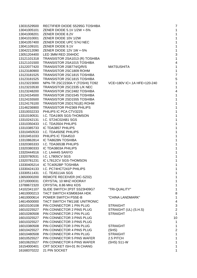| 13031529500 | RECTIFIER DIODE S5295G TOSHIBA    |                             | 7                       |
|-------------|-----------------------------------|-----------------------------|-------------------------|
| 13041005101 | ZENER DIODE 5.1V 1/2W +-5%        |                             | 1                       |
| 13041008201 | ZENER DIODE 8.2V                  |                             | 1                       |
| 13041010001 | ZENER DIODE 10V 1/2W              |                             | 1                       |
| 13041057400 | ZENER DIODE UPC 574J NEC          |                             | 1                       |
| 13041109101 | ZENER DIODE 9.1V                  |                             | 1                       |
| 13042212090 | ZENER DIODE 12V 1W +-5%           |                             | 1                       |
| 13051204400 | LED 3MM RED 204HDC                |                             | 3                       |
| 13121101318 | TRANSISTOR 2SA1013 (R) TOSHIBA    |                             | 1                       |
| 13121101500 | TRANSISTOR 2SA1015 TOSHIBA        |                             | $\overline{4}$          |
| 13122077420 | TRANSISTOR 2SB774/Q/R/S           | <b>MATSUSHITA</b>           | 1                       |
| 13123180900 | TRANSISTOR 2SC1809 ROHM           |                             | 1                       |
| 13123181525 | TRANSISTOR 2SC1815 TOSHIBA        |                             | $\overline{7}$          |
| 13123181525 | TRANSISTOR 2SC1815 TOSHIBA        |                             | 5                       |
| 13123223000 | NPN-TR 2SC2230A-Y (TOSHI) TO92    | VCE=180V IC=.1A HFE=120-240 | 1                       |
| 13123233530 | TRANSISTOR 2SC2335 L/K NEC        |                             | 1                       |
| 13123248200 | TRANSISTOR 2SC2482 TOSHIBA        |                             | 4                       |
| 13124154500 | TRANSISTOR 2SD1545 TOSHIBA        |                             | 1                       |
| 13124155500 | <b>TRANSISTOR 2SD1555 TOSHIBA</b> |                             | 1                       |
| 13124176100 | TRANSISTOR 2SD1761(E) ROHM        |                             | 1                       |
| 13146236900 | <b>TRANSISTOR PH2369 PHILIPS</b>  |                             | 1                       |
| 13310032233 | PHILIPS IC PCA CTV322S            |                             | 1                       |
| 13310190531 | I.C. TDA1905 SGS-THOMSON          |                             | 1                       |
| 13310242131 | I.C. ST24C02AB1 SGS               |                             | 1                       |
| 13310350433 | I.C. TDA3504 PHILIPS              |                             | 1                       |
| 13310385733 | IC TDA3857 PHILIPS                |                             | 1                       |
| 13310450533 | I.C. TDA4505E PHILIPS             |                             | 1                       |
| 13310451033 | PHILIPS IC TDA4510                |                             | 1                       |
| 13310862814 | IC TA8628N TOSHIBA                |                             | 1                       |
| 13320365333 | I.C. TDA3653B PHILIPS             |                             |                         |
| 13320380333 | IC TDA3803A PHILIPS               |                             |                         |
| 13320444516 | I.C. LA4445 SANYO                 |                             | 1                       |
| 13320780531 | <b>I.C. L7805CV SGS</b>           |                             | 1                       |
| 13320781231 | IC L7812CV SGS-THOMSON            |                             | 1                       |
| 13330405214 | IC TC4052BP TOSHIBA               |                             | 1                       |
| 13330424133 | I.C. PC74HCT241P PHILIPS          |                             | 1                       |
| 13330511431 | I.C. TEA5114A SGS                 |                             |                         |
| 13650000200 | REMOTE RECEIVER (HC-SZ02)         |                             | 1                       |
| 13710000031 | CRYSTAL 10 MHZ HOORAY             |                             | 1                       |
| 13788672320 | CRYSTAL 8.86 MHz KDS              |                             | 1                       |
| 14102341107 | SLIDE SWITCH 2P3T SS23H09G7       | "TRI-QUALITY"               | 1                       |
| 14610000213 | TACT SWITCH KSM0634A HDK          |                             | 8                       |
| 14610000614 | POWER SWITCH PS5E-B               | "CHINA LANDMARK"            | 1                       |
| 14614500000 | TACT SWITCH TM116E UNITRONIC      |                             | 4                       |
| 16010100108 | PIN CONNECTOR 1 PIN PLUG          | <b>STRAIGHT</b>             | 3                       |
| 16010225527 | PIN CONNECTOR 2 PINS PLUG         | STRAIGHT (UL) (S.H.S)       | $\overline{c}$          |
| 16010280508 | PIN CONNECTOR 2 PIN PLUG          | <b>STRAIGHT</b>             | $\mathbf 1$             |
| 16010325527 | PIN CONNECTOR 3 PINS PLUG         |                             | 10                      |
| 16010325527 | PIN CONNECTOR 3 PINS PLUG         |                             | 1                       |
| 16010380508 | PIN CONNECTOR 3 PIN PLUG          | <b>STRAIGHT</b>             | 1                       |
| 16010425527 | PIN CONNECTOR 4 PINS PLUG         | (SHS)                       | $\overline{\mathbf{c}}$ |
| 16010480508 | PIN CONNECTOR 4 PIN PLUG          | <b>STRAIGHT</b>             | 1                       |
| 16010525527 | PIN CONNECTOR 5 PINS WAFER        | 2.5 PITCH                   | 1                       |
| 16010625527 | PIN CONNECTOR 6 PINS WAFER        | (SHS) S11-W                 | 1                       |
| 16154000401 | CRT SOCKET ISH-01 IN CHANG        |                             | 1                       |
| 16168370222 | 21 PIN SOCKET                     |                             | 1                       |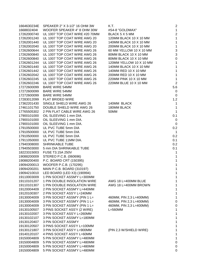| 1664630234E                | SPEAKER 2" X 3-1/2" 16 OHM 3W                             | K.T.                    | $\overline{\mathbf{c}}$    |
|----------------------------|-----------------------------------------------------------|-------------------------|----------------------------|
| 16688324041                | WOOFER SPEAKER 4" 8 OHM 30W                               | #S4-8 "GOLDMAX"         | $\mathbf{1}$               |
| 17262000740                | UL 1007 TOP COAT WIRE #20 70MM                            | BLACK 5 X 5 MM          | $\overline{2}$             |
| 17262001240                | UL 1007 TOP COAT WIRE AWG 20                              | 120MM BLACK 10 X 10 MM  | $\mathbf{1}$               |
| 17262001440                | UL 1007 TOP COAT WIRE AWG 20                              | 140MM BLACK 10 X 10 MM  | $\mathbf{1}$               |
| 17262002040                | UL 1007 TOP COAT WIRE AWG 20                              | 200MM BLACK 10 X 10 MM  | $\mathbf{1}$               |
| 17262600644                | UL 1007 TOP COAT WIRE AWG 26                              | 60 MM YELLOW 10 X 10 MM | 3                          |
| 17262600840                | UL 1007 TOP COAT WIRE AWG 26                              | 80MM BLACK 10 X 10 MM   | 3                          |
| 17262600840                | UL 1007 TOP COAT WIRE AWG 26                              | 80MM BLACK 10 X 10 MM   | $\mathbf 0$                |
| 17262601244                | UL 1007 TOP COAT WIRE AWG 26                              | 120MM YELLOW 10 X 10 MM | $\mathbf 1$                |
| 17262601440                | UL 1007 TOP COAT WIRE AWG 26                              | 140MM BLACK 10 X 10 MM  | $\mathbf 1$                |
| 17262601442                | UL 1007 TOP COAT WIRE AWG 26                              | 140MM RED 10 X 10 MM    | $\mathbf{1}$               |
| 17262602042                | UL 1007 TOP COAT WIRE AWG 26                              | 200MM RED 10 X 10 MM    | $\mathbf{1}$               |
| 17262602245                | UL 1007 TOP COAT WIRE AWG 26                              | 220MM PINK 10 X 10 MM   | $\mathbf{1}$               |
| 17262602246                | UL 1007 TOP COAT WIRE AWG 26                              | 220MM BLUE 10 X 10 MM   | $\overline{2}$             |
| 17272600099                | <b>BARE WIRE 54MM</b>                                     |                         | 5.6                        |
| 17272600099                | <b>BARE WIRE 54MM</b>                                     |                         | 0                          |
| 17272600099                | <b>BARE WIRE 54MM</b>                                     |                         | $\mathbf 0$                |
| 17283012099                | FLAT BRIDED WIRE                                          |                         | 1.2                        |
| 17362201430                | SINGLE SHIELD WIRE AWG 26                                 | 140MM BLACK             | $\mathbf 1$                |
| 17461101750                | DOUBLE SHIELD WIRE AWG 26                                 | 180MM BLACK             | $\mathbf{1}$               |
| 17765505302                | 2 PIN FLAT CABLE WIRE AWG 26                              | 50MM                    | $\mathbf{1}$               |
| 17900101000                | OIL SLEEVING 1 mm DIA.                                    |                         | 0.1                        |
| 17900101000                | OIL SLEEVING 1 mm DIA.                                    |                         | $\mathbf 0$                |
| 17900101000                | OIL SLEEVING 1 mm DIA.                                    |                         | $\mathbf 0$                |
| 17910500000                | UL PVC TUBE 5mm DIA                                       |                         | 0.2                        |
| 17910500000                | UL PVC TUBE 5mm DIA                                       |                         | 1                          |
| 17910500000                | UL PVC TUBE 5mm DIA                                       |                         | 0.2                        |
| 17911050000                | UL PVC TUBE 11MM DIA.                                     |                         | 0.1                        |
| 17940308000                | <b>SHRINKABLE TUBE</b>                                    |                         | 0.2                        |
| 17940503000                | 5 mm DIA SHRINKABLE TUBE                                  |                         | 0.1                        |
| 18223315003                | FUSE T3.15A 250V                                          |                         | 1                          |
| 19088200009                | STEREO P.C.B. (060696)                                    |                         | $\mathbf 1$                |
| 19088200400                | P.C. BOARD CRT (150395)                                   |                         | $\mathbf 1$                |
| 19094200013                | WOOFER P.C.B. (170295)                                    |                         | $\mathbf 1$                |
| 19094200201                | MAIN P.C.B. BOARD (310197)                                |                         | 1                          |
|                            | 19094210010 LED BOARD (LED X3) (190994)                   |                         | 1                          |
| 19110003009                | 1 PIN SOCKET ASSM'Y L=300MM                               |                         | 1                          |
| 19110101207                | 1 PIN DOUBLE INSOLATION WIRE                              | AWG 18 L=400MM BLUE     | 1                          |
| 19110101307<br>19120004409 | 1 PIN DOUBLE INSOLATION WIRE                              | AWG 18 L=400MM BROWN    | 1                          |
| 19120100307                | 2 PIN SOCKET ASSM'Y L=440MM<br>2 PIN SOCKET ASS'Y L=240MM |                         | $\mathbf 1$<br>$\mathbf 1$ |
| 19130004009                | 3 PIN SOCKET ASSM'Y (PIN 1 L=                             | 460MM, PIN 2,3 L=400MM) | $\mathbf 1$                |
| 19130004009                | 3 PIN SOCKET ASSM'Y (PIN 1 L=                             | 460MM, PIN 2,3 L=400MM) | 0                          |
| 19130004009                | 3 PIN SOCKET ASSM'Y (PIN 1 L=                             | 460MM, PIN 2,3 L=400MM) | 0                          |
| 19130100507                | 3 PINS SOCKET ASS'Y (2 WIRE)                              | $L = 560$ MM            | 1                          |
| 19130102007                | 3 PIN SOCKET ASS'Y L=260MM                                |                         | $\mathbf 1$                |
| 19130102107                | 3 PIN SOCKET ASSM'Y L=180MM                               |                         | $\mathbf 1$                |
| 19130120407                | 3 PIN SOCKET ASSM'Y                                       |                         | 1                          |
| 19130120507                | 3 PINS SOCKET ASS'Y L=100MM                               |                         | 1                          |
| 19130121807                | 3 PIN SOCKET ASS'Y L=900MM                                | (PIN 2,3 W/SHIELD WIRE) | 1                          |
| 19140120107                | 4 PINS SOCKET ASS'Y L=60MM                                |                         | 1                          |
| 19150004809                | 5 PIN SOCKET ASSM'Y L=480MM                               |                         | 1                          |
| 19150004809                | 5 PIN SOCKET ASSM'Y L=480MM                               |                         | $\mathbf 0$                |
| 19150004809                | 5 PIN SOCKET ASSM'Y L=480MM                               |                         | 0                          |
| 19150004809                | 5 PIN SOCKET ASSM'Y L=480MM                               |                         | 0                          |
|                            |                                                           |                         |                            |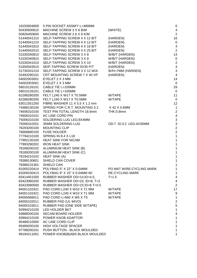| 19150004809 | 5 PIN SOCKET ASSM'Y L=480MM                        |                          | $\mathbf 0$              |
|-------------|----------------------------------------------------|--------------------------|--------------------------|
| 50430500610 | MACHINE SCREW 3 X 6 B/M                            | (WHITE)                  | 4                        |
| 50926450600 | MACHINE SCREW 2.6 X 6 K/M                          |                          | $\overline{2}$           |
| 51440041210 | SELF-TAPPING SCREW 4 X 12 B/T                      | (HARDEN)                 | 16                       |
| 51440041210 | SELF-TAPPING SCREW 4 X 12 B/T                      | (HARDEN)                 | $\mathbf 0$              |
| 51440041810 | SELF-TAPPING SCREW 4 X 18 B/T                      | (HARDEN)                 | 4                        |
| 51440042510 | SELF-TAPPING SCREW 4 X 25 B/T                      | (HARDEN)                 | $\overline{a}$           |
| 51530340810 | SELF-TAPPING SCREW 3 X 8                           | W/B/T (HARDEN)           | 14                       |
| 51530340810 | SELF-TAPPING SCREW 3 X 8                           | W/B/T (HARDEN)           | $\mathbf 0$              |
| 51530341010 | SELF-TAPPING SCREW 3 X 10                          | W/B/T (HARDEN)           | $\overline{\mathbf{c}}$  |
| 51650043510 | SEIF-TAPPING SCREW 5X35 P/T                        | (HARDEN)                 | 4                        |
| 51730331210 | SELF-TAPPING SCREW 3 X 12 W/A                      | W/H=7MM (HARDEN)         | 3                        |
| 52493290101 | CRT MOUNTING SCREW 7 X 40 VP                       | (HARDEN)                 | $\overline{4}$           |
| 54002003001 | EYELET 2 X 3 MM                                    |                          | 14                       |
| 54002003001 | EYELET 2 X 3 MM                                    |                          | $\mathbf 0$              |
| 58010126101 | CABLE TIE L=100MM                                  |                          | 29                       |
| 58010126101 | CABLE TIE L=100MM                                  |                          | $\overline{0}$           |
| 62288280200 | FELT L240 X W17 X T0.5MM                           | W/TAPE                   | 11                       |
| 62288280200 | FELT L240 X W17 X T0.5MM                           | W/TAPE                   | $\overline{0}$           |
| 63011551200 | FIBRE WASHER 11 X 5.5 X 1.2 mm                     |                          | 12                       |
| 74488130100 | SPRING FOR C.R.T. MOUNTING 5.2                     | X 42 X 0.6MM             | 1                        |
| 74606310100 | TEST PIN: TOTAL LENGTH 18.6mm                      | THK:0.8mm                | $\overline{a}$           |
| 74606310101 | AC LINE CORD PIN                                   |                          | $\overline{\mathcal{A}}$ |
| 75006310100 | SOLDERING LUG LEG:8X4MM                            |                          | 3                        |
| 75006310201 | 35MM SOLDERING LUG                                 | OD:7 ID:3.2 LEG:4X35MM   | 3                        |
| 76293200100 | <b>MOUNTING CLIP</b>                               |                          | $\overline{c}$           |
| 76668680100 | <b>FUSE HOLDER</b>                                 |                          | $\overline{a}$           |
| 77794210100 | SPRING IN 8.4 X L18                                |                          | 1                        |
| 77992130100 | <b>HEAT SINK FOR NICAM</b>                         |                          | 1                        |
| 77993290202 | <b>IRON HEAT SINK</b>                              |                          | 1                        |
| 78188200102 |                                                    |                          | 1                        |
| 78189200100 | ALUMINIUM HEAT SINK (B)<br>ALUMINIUM HEAT SINK (C) |                          | 1                        |
| 78194210102 |                                                    |                          | 1                        |
| 78388130601 | <b>HEAT SINK (A)</b><br>SHIELD CAN COVER           |                          | 1                        |
|             |                                                    |                          |                          |
| 78388131301 | SHIELD CAN                                         |                          |                          |
| 81005220414 | POLYBAG 5" X 22" X 0.04MM                          | PO MAT W/RE-CYCLING MARK | 1                        |
| 81009150413 | POLYBAG 9" X 15" X 0.04MM W/                       | <b>RE-CYCLING MARK</b>   |                          |
| 83414451500 | RUBBER WASHER OD=14, ID=4.5,                       | $T = 1.5$                | 4                        |
| 83423080200 | RUBBER WASHER OD=23, ID=8, T=2                     |                          | 4                        |
| 83423080500 | RUBBER WASHER OD=23 ID=8 T=0.5                     |                          | $\overline{c}$           |
| 84001102421 | PAD CORD L240 X W10 X T1 MM                        | W/TAPE                   | 17                       |
| 84001102421 | PAD CORD L240 X W10 X T1 MM                        | W/TAPE                   | 9                        |
| 84005066011 | PAD CORD L=660 X W5 X T5                           | W/TAPE                   | 1                        |
| 84005102011 | RUBBER PAD (UL 94VO)                               |                          | $\overline{c}$           |
| 84005103011 | RUBBER PAD (ONE SIDE W/TAPE)                       |                          | 5                        |
| 92994210100 | LED HOLDER BKT                                     |                          | 1                        |
| 93888200100 | <b>SECAM BOARD HOLDER</b>                          |                          | 4                        |
| 93994210100 | POWER KNOB ADAPTOR                                 |                          | 1                        |
| 95488210000 | AC LINE CORD CLIP                                  |                          | 1                        |
| 95489200100 | <b>HIGH VOLTAGE SPACER</b>                         |                          | 1                        |
| 97788200101 | PUSH BUTTON - BLACK MOULDED                        |                          | 1                        |
| 99194211001 | POWER KNOB(B)ABS BLACK MOULDED                     |                          |                          |